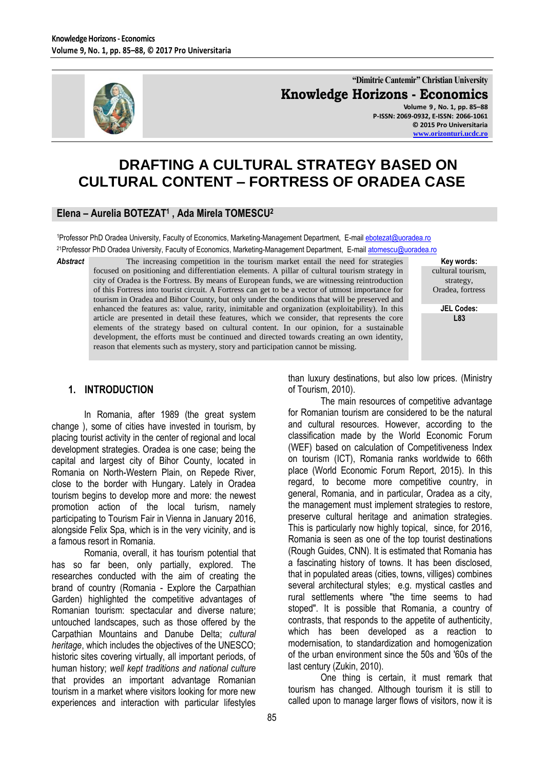

**"Dimitrie Cantemir" Christian University Knowledge Horizons - Economics Volume 9 , No. 1, pp. 85–88 P-ISSN: 2069-0932, E-ISSN: 2066-1061**

**© 2015 Pro Universitaria [www.orizonturi.ucdc.ro](http://www.orizonturi.ucdc.ro/)**

> **Key words:** cultural tourism, strategy, Oradea, fortress **JEL Codes: L83**

# **DRAFTING A CULTURAL STRATEGY BASED ON CULTURAL CONTENT – FORTRESS OF ORADEA CASE**

### **Elena – Aurelia BOTEZAT<sup>1</sup> , Ada Mirela TOMESCU<sup>2</sup>**

1Professor PhD Oradea University, Faculty of Economics, Marketing-Management Department, E-mail [ebotezat@uoradea.ro](mailto:ebotezat@uoradea.ro) <sup>21</sup>Professor PhD Oradea University, Faculty of Economics, Marketing-Management Department, E-mai[l atomescu@uoradea.ro](mailto:atomescu@uoradea.ro)

**Abstract** The increasing competition in the tourism market entail the need for strategies focused on positioning and differentiation elements. A pillar of cultural tourism strategy in city of Oradea is the Fortress. By means of European funds, we are witnessing reintroduction of this Fortress into tourist circuit. A Fortress can get to be a vector of utmost importance for tourism in Oradea and Bihor County, but only under the conditions that will be preserved and enhanced the features as: value, rarity, inimitable and organization (exploitability). In this article are presented in detail these features, which we consider, that represents the core elements of the strategy based on cultural content. In our opinion, for a sustainable development, the efforts must be continued and directed towards creating an own identity, reason that elements such as mystery, story and participation cannot be missing.

### **1. INTRODUCTION**

In Romania, after 1989 (the great system change ), some of cities have invested in tourism, by placing tourist activity in the center of regional and local development strategies. Oradea is one case; being the capital and largest city of Bihor County, located in Romania on North-Western Plain, on Repede River, close to the border with Hungary. Lately in Oradea tourism begins to develop more and more: the newest promotion action of the local turism, namely participating to Tourism Fair in Vienna in January 2016, alongside Felix Spa, which is in the very vicinity, and is a famous resort in Romania.

Romania, overall, it has tourism potential that has so far been, only partially, explored. The researches conducted with the aim of creating the brand of country (Romania - Explore the Carpathian Garden) highlighted the competitive advantages of Romanian tourism: spectacular and diverse nature; untouched landscapes, such as those offered by the Carpathian Mountains and Danube Delta; *cultural heritage*, which includes the objectives of the UNESCO; historic sites covering virtually, all important periods, of human history; *well kept traditions and national culture* that provides an important advantage Romanian tourism in a market where visitors looking for more new experiences and interaction with particular lifestyles

than luxury destinations, but also low prices. (Ministry of Tourism, 2010).

The main resources of competitive advantage for Romanian tourism are considered to be the natural and cultural resources. However, according to the classification made by the World Economic Forum (WEF) based on calculation of Competitiveness Index on tourism (ICT), Romania ranks worldwide to 66th place (World Economic Forum Report, 2015). In this regard, to become more competitive country, in general, Romania, and in particular, Oradea as a city, the management must implement strategies to restore, preserve cultural heritage and animation strategies. This is particularly now highly topical, since, for 2016, Romania is seen as one of the top tourist destinations (Rough Guides, CNN). It is estimated that Romania has a fascinating history of towns. It has been disclosed, that in populated areas (cities, towns, villiges) combines several architectural styles; e.g. mystical castles and rural settlements where "the time seems to had stoped". It is possible that Romania, a country of contrasts, that responds to the appetite of authenticity, which has been developed as a reaction to modernisation, to standardization and homogenization of the urban environment since the 50s and '60s of the last century (Zukin, 2010).

One thing is certain, it must remark that tourism has changed. Although tourism it is still to called upon to manage larger flows of visitors, now it is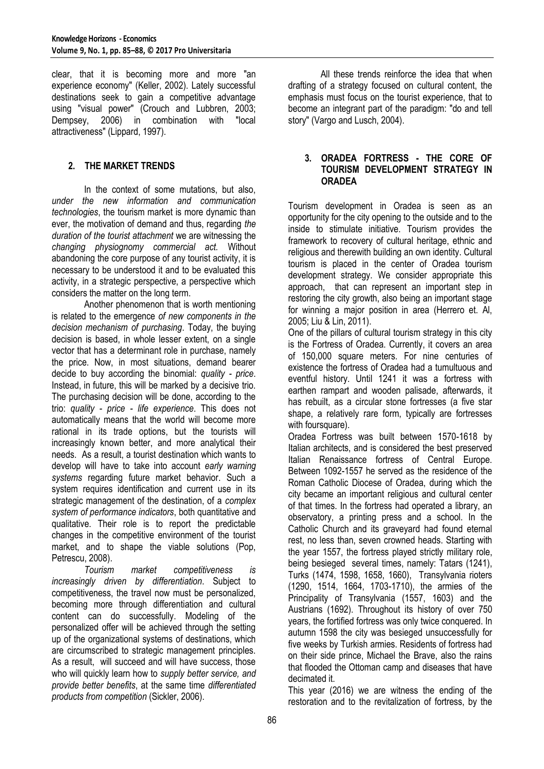clear, that it is becoming more and more "an experience economy" (Keller, 2002). Lately successful destinations seek to gain a competitive advantage using "visual power" (Crouch and Lubbren, 2003; Dempsey, 2006) in combination with "local attractiveness" (Lippard, 1997).

## **2. THE MARKET TRENDS**

In the context of some mutations, but also, *under the new information and communication technologies*, the tourism market is more dynamic than ever, the motivation of demand and thus, regarding *the duration of the tourist attachment* we are witnessing the *changing physiognomy commercial act.* Without abandoning the core purpose of any tourist activity, it is necessary to be understood it and to be evaluated this activity, in a strategic perspective, a perspective which considers the matter on the long term.

Another phenomenon that is worth mentioning is related to the emergence *of new components in the decision mechanism of purchasing*. Today, the buying decision is based, in whole lesser extent, on a single vector that has a determinant role in purchase, namely the price. Now, in most situations, demand bearer decide to buy according the binomial: *quality - price*. Instead, in future, this will be marked by a decisive trio. The purchasing decision will be done, according to the trio: *quality - price - life experience*. This does not automatically means that the world will become more rational in its trade options, but the tourists will increasingly known better, and more analytical their needs. As a result, a tourist destination which wants to develop will have to take into account *early warning systems* regarding future market behavior. Such a system requires identification and current use in its strategic management of the destination, of a *complex system of performance indicators*, both quantitative and qualitative. Their role is to report the predictable changes in the competitive environment of the tourist market, and to shape the viable solutions (Pop, Petrescu, 2008).

*Tourism market competitiveness is increasingly driven by differentiation*. Subject to competitiveness, the travel now must be personalized, becoming more through differentiation and cultural content can do successfully. Modeling of the personalized offer will be achieved through the setting up of the organizational systems of destinations, which are circumscribed to strategic management principles. As a result, will succeed and will have success, those who will quickly learn how to *supply better service, and provide better benefits*, at the same time *differentiated products from competition* (Sickler, 2006).

All these trends reinforce the idea that when drafting of a strategy focused on cultural content, the emphasis must focus on the tourist experience, that to become an integrant part of the paradigm: "do and tell story" (Vargo and Lusch, 2004).

### **3. ORADEA FORTRESS - THE CORE OF TOURISM DEVELOPMENT STRATEGY IN ORADEA**

Tourism development in Oradea is seen as an opportunity for the city opening to the outside and to the inside to stimulate initiative. Tourism provides the framework to recovery of cultural heritage, ethnic and religious and therewith building an own identity. Cultural tourism is placed in the center of Oradea tourism development strategy. We consider appropriate this approach, that can represent an important step in restoring the city growth, also being an important stage for winning a major position in area (Herrero et. Al, 2005; Liu & Lin, 2011).

One of the pillars of cultural tourism strategy in this city is the Fortress of Oradea. Currently, it covers an area of 150,000 square meters. For nine centuries of existence the fortress of Oradea had a tumultuous and eventful history. Until 1241 it was a fortress with earthen rampart and wooden palisade, afterwards, it has rebuilt, as a circular stone fortresses (a five star shape, a relatively rare form, typically are fortresses with foursquare).

Oradea Fortress was built between 1570-1618 by Italian architects, and is considered the best preserved Italian Renaissance fortress of Central Europe. Between 1092-1557 he served as the residence of the Roman Catholic Diocese of Oradea, during which the city became an important religious and cultural center of that times. In the fortress had operated a library, an observatory, a printing press and a school. In the Catholic Church and its graveyard had found eternal rest, no less than, seven crowned heads. Starting with the year 1557, the fortress played strictly military role, being besieged several times, namely: Tatars (1241), Turks (1474, 1598, 1658, 1660), Transylvania rioters (1290, 1514, 1664, 1703-1710), the armies of the Principality of Transylvania (1557, 1603) and the Austrians (1692). Throughout its history of over 750 years, the fortified fortress was only twice conquered. In autumn 1598 the city was besieged unsuccessfully for five weeks by Turkish armies. Residents of fortress had on their side prince, Michael the Brave, also the rains that flooded the Ottoman camp and diseases that have decimated it.

This year (2016) we are witness the ending of the restoration and to the revitalization of fortress, by the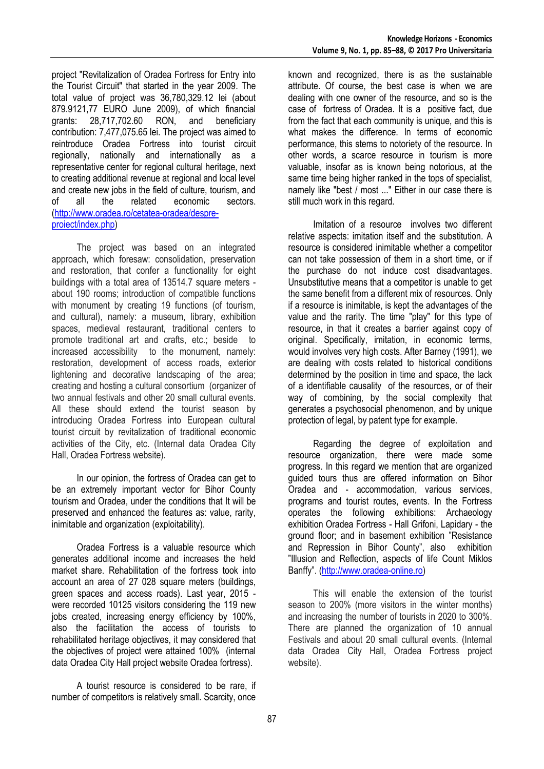**Knowledge Horizons - Economics Volume 9, No. 1, pp. 85–88, © 2017 Pro Universitaria**

project "Revitalization of Oradea Fortress for Entry into the Tourist Circuit" that started in the year 2009. The total value of project was 36,780,329.12 lei (about 879.9121,77 EURO June 2009), of which financial grants: 28,717,702.60 RON, and beneficiary contribution: 7,477,075.65 lei. The project was aimed to reintroduce Oradea Fortress into tourist circuit regionally, nationally and internationally as a representative center for regional cultural heritage, next to creating additional revenue at regional and local level and create new jobs in the field of culture, tourism, and<br>of all the related economic sectors. all the related economic sectors. [\(http://www.oradea.ro/cetatea-oradea/despre](http://www.oradea.ro/cetatea-oradea/despre-proiect/index.php)[proiect/index.php\)](http://www.oradea.ro/cetatea-oradea/despre-proiect/index.php)

The project was based on an integrated approach, which foresaw: consolidation, preservation and restoration, that confer a functionality for eight buildings with a total area of 13514.7 square meters about 190 rooms; introduction of compatible functions with monument by creating 19 functions (of tourism, and cultural), namely: a museum, library, exhibition spaces, medieval restaurant, traditional centers to promote traditional art and crafts, etc.; beside to increased accessibility to the monument, namely: restoration, development of access roads, exterior lightening and decorative landscaping of the area; creating and hosting a cultural consortium (organizer of two annual festivals and other 20 small cultural events. All these should extend the tourist season by introducing Oradea Fortress into European cultural tourist circuit by revitalization of traditional economic activities of the City, etc. (Internal data Oradea City Hall, Oradea Fortress website).

In our opinion, the fortress of Oradea can get to be an extremely important vector for Bihor County tourism and Oradea, under the conditions that It will be preserved and enhanced the features as: value, rarity, inimitable and organization (exploitability).

Oradea Fortress is a valuable resource which generates additional income and increases the held market share. Rehabilitation of the fortress took into account an area of 27 028 square meters (buildings, green spaces and access roads). Last year, 2015 were recorded 10125 visitors considering the 119 new jobs created, increasing energy efficiency by 100%, also the facilitation the access of tourists to rehabilitated heritage objectives, it may considered that the objectives of project were attained 100% (internal data Oradea City Hall project website Oradea fortress).

A tourist resource is considered to be rare, if number of competitors is relatively small. Scarcity, once known and recognized, there is as the sustainable attribute. Of course, the best case is when we are dealing with one owner of the resource, and so is the case of fortress of Oradea. It is a positive fact, due from the fact that each community is unique, and this is what makes the difference. In terms of economic performance, this stems to notoriety of the resource. In other words, a scarce resource in tourism is more valuable, insofar as is known being notorious, at the same time being higher ranked in the tops of specialist, namely like "best / most ..." Either in our case there is still much work in this regard.

Imitation of a resource involves two different relative aspects: imitation itself and the substitution. A resource is considered inimitable whether a competitor can not take possession of them in a short time, or if the purchase do not induce cost disadvantages. Unsubstitutive means that a competitor is unable to get the same benefit from a different mix of resources. Only if a resource is inimitable, is kept the advantages of the value and the rarity. The time "play" for this type of resource, in that it creates a barrier against copy of original. Specifically, imitation, in economic terms, would involves very high costs. After Barney (1991), we are dealing with costs related to historical conditions determined by the position in time and space, the lack of a identifiable causality of the resources, or of their way of combining, by the social complexity that generates a psychosocial phenomenon, and by unique protection of legal, by patent type for example.

Regarding the degree of exploitation and resource organization, there were made some progress. In this regard we mention that are organized guided tours thus are offered information on Bihor Oradea and - accommodation, various services, programs and tourist routes, events. In the Fortress operates the following exhibitions: Archaeology exhibition Oradea Fortress - Hall Grifoni, Lapidary - the ground floor; and in basement exhibition "Resistance and Repression in Bihor County", also exhibition "Illusion and Reflection, aspects of life Count Miklos Banffy". ([http://www.oradea-online.ro\)](http://www.oradea-online.ro/)

This will enable the extension of the tourist season to 200% (more visitors in the winter months) and increasing the number of tourists in 2020 to 300%. There are planned the organization of 10 annual Festivals and about 20 small cultural events. (Internal data Oradea City Hall, Oradea Fortress project website).